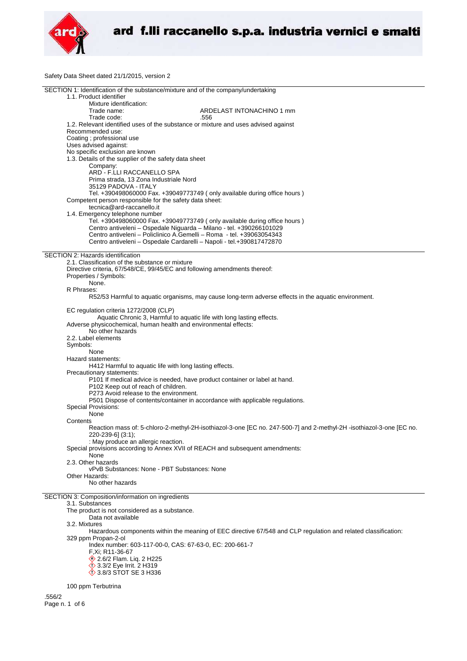

Safety Data Sheet dated 21/1/2015, version 2

| SECTION 1: Identification of the substance/mixture and of the company/undertaking                                   |  |
|---------------------------------------------------------------------------------------------------------------------|--|
| 1.1. Product identifier                                                                                             |  |
| Mixture identification:                                                                                             |  |
| Trade name:<br>ARDELAST INTONACHINO 1 mm                                                                            |  |
| Trade code:<br>.556                                                                                                 |  |
| 1.2. Relevant identified uses of the substance or mixture and uses advised against                                  |  |
| Recommended use:                                                                                                    |  |
| Coating ; professional use                                                                                          |  |
| Uses advised against:                                                                                               |  |
| No specific exclusion are known                                                                                     |  |
| 1.3. Details of the supplier of the safety data sheet                                                               |  |
| Company:                                                                                                            |  |
| ARD - F.LLI RACCANELLO SPA                                                                                          |  |
| Prima strada, 13 Zona Industriale Nord                                                                              |  |
|                                                                                                                     |  |
| 35129 PADOVA - ITALY                                                                                                |  |
| Tel. +390498060000 Fax. +39049773749 (only available during office hours)                                           |  |
| Competent person responsible for the safety data sheet:                                                             |  |
| tecnica@ard-raccanello.it                                                                                           |  |
| 1.4. Emergency telephone number                                                                                     |  |
| Tel. +390498060000 Fax. +39049773749 (only available during office hours)                                           |  |
| Centro antiveleni - Ospedale Niguarda - Milano - tel. +390266101029                                                 |  |
| Centro antiveleni – Policlinico A.Gemelli – Roma - tel. +39063054343                                                |  |
| Centro antiveleni - Ospedale Cardarelli - Napoli - tel.+390817472870                                                |  |
|                                                                                                                     |  |
| SECTION 2: Hazards identification                                                                                   |  |
| 2.1. Classification of the substance or mixture                                                                     |  |
| Directive criteria, 67/548/CE, 99/45/EC and following amendments thereof:                                           |  |
| Properties / Symbols:                                                                                               |  |
| None.                                                                                                               |  |
|                                                                                                                     |  |
| R Phrases:                                                                                                          |  |
| R52/53 Harmful to aquatic organisms, may cause long-term adverse effects in the aquatic environment.                |  |
|                                                                                                                     |  |
| EC regulation criteria 1272/2008 (CLP)                                                                              |  |
| Aquatic Chronic 3, Harmful to aquatic life with long lasting effects.                                               |  |
| Adverse physicochemical, human health and environmental effects:                                                    |  |
| No other hazards                                                                                                    |  |
| 2.2. Label elements                                                                                                 |  |
| Symbols:                                                                                                            |  |
| None                                                                                                                |  |
| Hazard statements:                                                                                                  |  |
| H412 Harmful to aquatic life with long lasting effects.                                                             |  |
| Precautionary statements:                                                                                           |  |
| P101 If medical advice is needed, have product container or label at hand.                                          |  |
| P102 Keep out of reach of children.                                                                                 |  |
|                                                                                                                     |  |
| P273 Avoid release to the environment.                                                                              |  |
| P501 Dispose of contents/container in accordance with applicable regulations.                                       |  |
| <b>Special Provisions:</b>                                                                                          |  |
| None                                                                                                                |  |
| Contents                                                                                                            |  |
| Reaction mass of: 5-chloro-2-methyl-2H-isothiazol-3-one [EC no. 247-500-7] and 2-methyl-2H-isothiazol-3-one [EC no. |  |
| 220-239-6] (3:1);                                                                                                   |  |
| : May produce an allergic reaction.                                                                                 |  |
| Special provisions according to Annex XVII of REACH and subsequent amendments:                                      |  |
| None                                                                                                                |  |
| 2.3. Other hazards                                                                                                  |  |
| vPvB Substances: None - PBT Substances: None                                                                        |  |
| Other Hazards:                                                                                                      |  |
| No other hazards                                                                                                    |  |
|                                                                                                                     |  |
|                                                                                                                     |  |
| SECTION 3: Composition/information on ingredients                                                                   |  |
| 3.1. Substances                                                                                                     |  |
| The product is not considered as a substance.                                                                       |  |
| Data not available                                                                                                  |  |
| 3.2. Mixtures                                                                                                       |  |
| Hazardous components within the meaning of EEC directive 67/548 and CLP regulation and related classification:      |  |
| 329 ppm Propan-2-ol                                                                                                 |  |
| Index number: 603-117-00-0, CAS: 67-63-0, EC: 200-661-7                                                             |  |
| F, Xi; R11-36-67                                                                                                    |  |
| 2.6/2 Flam. Liq. 2 H225                                                                                             |  |
| 3.3/2 Eye Irrit. 2 H319                                                                                             |  |
| <b>12 3.8/3 STOT SE 3 H336</b>                                                                                      |  |
|                                                                                                                     |  |
| 100 ppm Terbutrina                                                                                                  |  |
|                                                                                                                     |  |
| .556/2                                                                                                              |  |
| Page n. 1 of 6                                                                                                      |  |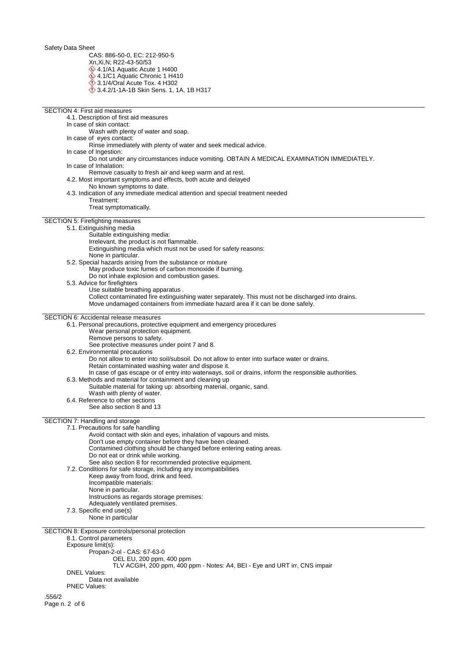CAS: 886-50-0, EC: 212-950-5

- Xn,Xi,N; R22-43-50/53
- 4.1/A1 Aquatic Acute 1 H400
- 4.1/C1 Aquatic Chronic 1 H410 3.1/4/Oral Acute Tox. 4 H302
- 3.4.2/1-1A-1B Skin Sens. 1, 1A, 1B H317

| <b>SECTION 4: First aid measures</b>                                                                                                                               |
|--------------------------------------------------------------------------------------------------------------------------------------------------------------------|
| 4.1. Description of first aid measures                                                                                                                             |
| In case of skin contact:                                                                                                                                           |
| Wash with plenty of water and soap.                                                                                                                                |
| In case of eyes contact:                                                                                                                                           |
| Rinse immediately with plenty of water and seek medical advice.<br>In case of Ingestion:                                                                           |
| Do not under any circumstances induce vomiting. OBTAIN A MEDICAL EXAMINATION IMMEDIATELY.                                                                          |
| In case of Inhalation:                                                                                                                                             |
| Remove casualty to fresh air and keep warm and at rest.                                                                                                            |
| 4.2. Most important symptoms and effects, both acute and delayed                                                                                                   |
| No known symptoms to date.                                                                                                                                         |
| 4.3. Indication of any immediate medical attention and special treatment needed<br>Treatment:                                                                      |
| Treat symptomatically.                                                                                                                                             |
|                                                                                                                                                                    |
| SECTION 5: Firefighting measures                                                                                                                                   |
| 5.1. Extinguishing media                                                                                                                                           |
| Suitable extinguishing media:<br>Irrelevant, the product is not flammable.                                                                                         |
| Extinguishing media which must not be used for safety reasons:                                                                                                     |
| None in particular.                                                                                                                                                |
| 5.2. Special hazards arising from the substance or mixture                                                                                                         |
| May produce toxic fumes of carbon monoxide if burning.                                                                                                             |
| Do not inhale explosion and combustion gases.                                                                                                                      |
| 5.3. Advice for firefighters<br>Use suitable breathing apparatus.                                                                                                  |
| Collect contaminated fire extinguishing water separately. This must not be discharged into drains.                                                                 |
| Move undamaged containers from immediate hazard area if it can be done safely.                                                                                     |
|                                                                                                                                                                    |
| SECTION 6: Accidental release measures                                                                                                                             |
| 6.1. Personal precautions, protective equipment and emergency procedures<br>Wear personal protection equipment.                                                    |
| Remove persons to safety.                                                                                                                                          |
| See protective measures under point 7 and 8.                                                                                                                       |
| 6.2. Environmental precautions                                                                                                                                     |
| Do not allow to enter into soil/subsoil. Do not allow to enter into surface water or drains.                                                                       |
| Retain contaminated washing water and dispose it.                                                                                                                  |
| In case of gas escape or of entry into waterways, soil or drains, inform the responsible authorities.<br>6.3. Methods and material for containment and cleaning up |
| Suitable material for taking up: absorbing material, organic, sand.                                                                                                |
| Wash with plenty of water.                                                                                                                                         |
| 6.4. Reference to other sections                                                                                                                                   |
| See also section 8 and 13                                                                                                                                          |
| SECTION 7: Handling and storage                                                                                                                                    |
| 7.1. Precautions for safe handling                                                                                                                                 |
| Avoid contact with skin and eyes, inhalation of vapours and mists.                                                                                                 |
| Don't use empty container before they have been cleaned.                                                                                                           |
| Contamined clothing should be changed before entering eating areas.                                                                                                |
| Do not eat or drink while working.                                                                                                                                 |
| See also section 8 for recommended protective equipment.<br>7.2. Conditions for safe storage, including any incompatibilities                                      |
| Keep away from food, drink and feed.                                                                                                                               |
| Incompatible materials:                                                                                                                                            |
| None in particular.                                                                                                                                                |
| Instructions as regards storage premises:                                                                                                                          |
| Adequately ventilated premises.                                                                                                                                    |
| 7.3. Specific end use(s)<br>None in particular                                                                                                                     |
|                                                                                                                                                                    |
| SECTION 8: Exposure controls/personal protection                                                                                                                   |
| 8.1. Control parameters                                                                                                                                            |
| Exposure limit(s):                                                                                                                                                 |
| Propan-2-ol - CAS: 67-63-0                                                                                                                                         |
| OEL EU, 200 ppm, 400 ppm<br>TLV ACGIH, 200 ppm, 400 ppm - Notes: A4, BEI - Eye and URT irr, CNS impair                                                             |
| <b>DNEL Values:</b>                                                                                                                                                |
| Data not available                                                                                                                                                 |
| <b>PNEC Values:</b>                                                                                                                                                |
| .556/2                                                                                                                                                             |
| Page n. 2 of 6                                                                                                                                                     |
|                                                                                                                                                                    |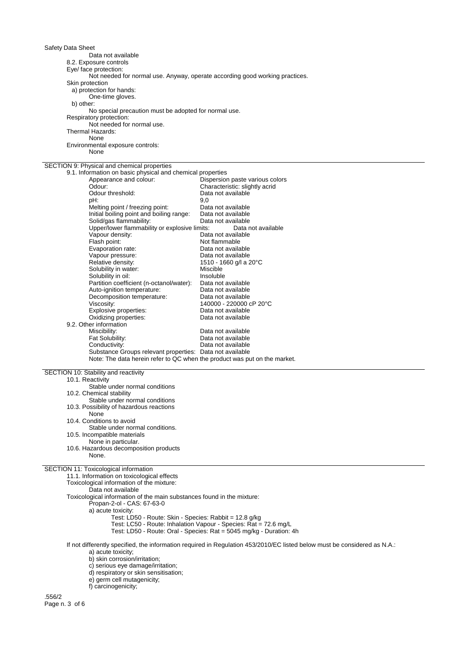Safety Data Sheet Data not available 8.2. Exposure controls Eye/ face protection: Not needed for normal use. Anyway, operate according good working practices. Skin protection a) protection for hands: One-time gloves. b) other: No special precaution must be adopted for normal use. Respiratory protection: Not needed for normal use. Thermal Hazards: None Environmental exposure controls: None SECTION 9: Physical and chemical properties 9.1. Information on basic physical and chemical properties Dispersion paste various colors Odour: Characteristic: slightly acrid<br>
Odour threshold: Characteristic: slightly acrid Odour threshold: Data not available<br>
pH: 9,0 pH: 9,0 Melting point / freezing point: Data not available Initial boiling point and boiling range: Data not available Solid/gas flammability:<br>
Data not available<br>
Upper/lower flammability or explosive limits: Data not available Upper/lower flammability or explosive limits: Vapour density: Vapour density: Data not available Flash point:<br>
Evaporation rate:<br>
Data not available Evaporation rate:<br>Vapour pressure: Vapour pressure: Data not available<br>
Relative density: 1510 - 1660 g/l a 2 1510 - 1660 g/l a 20°C<br>Miscible Solubility in water:<br>
Solubility in oil:<br>
Solubility in oil:<br>
Miscluble Solubility in oil: Partition coefficient (n-octanol/water): Data not available Auto-ignition temperature: Data not available Decomposition temperature:<br>Viscosity: 140000 - 220000 cP 20°C Explosive properties:<br>
Oxidizing properties:<br>
Data not available Oxidizing properties: Data not available 9.2. Other information Miscibility: Data not available<br>
Fat Solubility: Calculate Data not available Data not available Conductivity: Data not available Substance Groups relevant properties: Data not available Note: The data herein refer to QC when the product was put on the market. SECTION 10: Stability and reactivity 10.1. Reactivity Stable under normal conditions 10.2. Chemical stability Stable under normal conditions 10.3. Possibility of hazardous reactions None 10.4. Conditions to avoid Stable under normal conditions. 10.5. Incompatible materials None in particular. 10.6. Hazardous decomposition products None. SECTION 11: Toxicological information 11.1. Information on toxicological effects Toxicological information of the mixture: Data not available Toxicological information of the main substances found in the mixture: Propan-2-ol - CAS: 67-63-0 a) acute toxicity: Test: LD50 - Route: Skin - Species: Rabbit = 12.8 g/kg Test: LC50 - Route: Inhalation Vapour - Species: Rat = 72.6 mg/L Test: LD50 - Route: Oral - Species: Rat = 5045 mg/kg - Duration: 4h If not differently specified, the information required in Regulation 453/2010/EC listed below must be considered as N.A.:

a) acute toxicity;

b) skin corrosion/irritation;

c) serious eye damage/irritation;

d) respiratory or skin sensitisation;

e) germ cell mutagenicity;

f) carcinogenicity;

.556/2 Page n. 3 of 6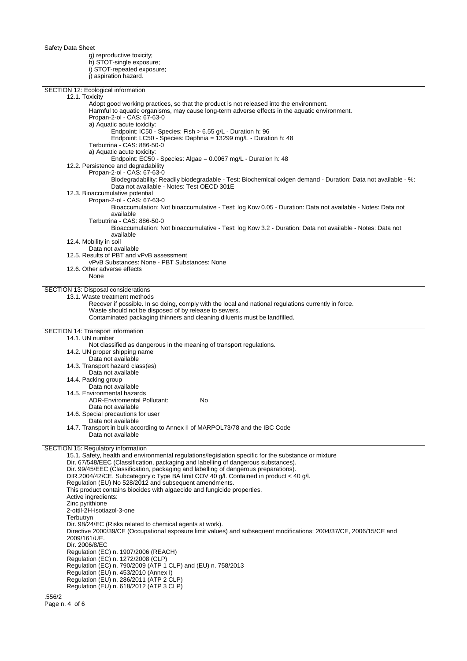Page n. 4 of 6

g) reproductive toxicity; h) STOT-single exposure; i) STOT-repeated exposure; j) aspiration hazard.

| SECTION 12: Ecological information                                                                                                                          |
|-------------------------------------------------------------------------------------------------------------------------------------------------------------|
| 12.1. Toxicity                                                                                                                                              |
| Adopt good working practices, so that the product is not released into the environment.                                                                     |
| Harmful to aquatic organisms, may cause long-term adverse effects in the aquatic environment.                                                               |
| Propan-2-ol - CAS: 67-63-0                                                                                                                                  |
| a) Aquatic acute toxicity:                                                                                                                                  |
| Endpoint: IC50 - Species: Fish > 6.55 g/L - Duration h: 96                                                                                                  |
| Endpoint: LC50 - Species: Daphnia = 13299 mg/L - Duration h: 48                                                                                             |
| Terbutrina - CAS: 886-50-0                                                                                                                                  |
| a) Aquatic acute toxicity:                                                                                                                                  |
| Endpoint: EC50 - Species: Algae = 0.0067 mg/L - Duration h: 48                                                                                              |
| 12.2. Persistence and degradability                                                                                                                         |
| Propan-2-ol - CAS: 67-63-0                                                                                                                                  |
|                                                                                                                                                             |
| Biodegradability: Readily biodegradable - Test: Biochemical oxigen demand - Duration: Data not available - %:<br>Data not available - Notes: Test OECD 301E |
| 12.3. Bioaccumulative potential                                                                                                                             |
| Propan-2-ol - CAS: 67-63-0                                                                                                                                  |
|                                                                                                                                                             |
| Bioaccumulation: Not bioaccumulative - Test: log Kow 0.05 - Duration: Data not available - Notes: Data not<br>available                                     |
|                                                                                                                                                             |
| Terbutrina - CAS: 886-50-0                                                                                                                                  |
| Bioaccumulation: Not bioaccumulative - Test: log Kow 3.2 - Duration: Data not available - Notes: Data not                                                   |
| available                                                                                                                                                   |
| 12.4. Mobility in soil                                                                                                                                      |
| Data not available                                                                                                                                          |
| 12.5. Results of PBT and vPvB assessment                                                                                                                    |
| vPvB Substances: None - PBT Substances: None                                                                                                                |
| 12.6. Other adverse effects                                                                                                                                 |
| None                                                                                                                                                        |
|                                                                                                                                                             |
| SECTION 13: Disposal considerations                                                                                                                         |
| 13.1. Waste treatment methods                                                                                                                               |
| Recover if possible. In so doing, comply with the local and national regulations currently in force.                                                        |
| Waste should not be disposed of by release to sewers.                                                                                                       |
| Contaminated packaging thinners and cleaning diluents must be landfilled.                                                                                   |
|                                                                                                                                                             |
| SECTION 14: Transport information                                                                                                                           |
| 14.1. UN number                                                                                                                                             |
| Not classified as dangerous in the meaning of transport regulations.                                                                                        |
| 14.2. UN proper shipping name                                                                                                                               |
| Data not available                                                                                                                                          |
| 14.3. Transport hazard class(es)                                                                                                                            |
| Data not available                                                                                                                                          |
| 14.4. Packing group                                                                                                                                         |
| Data not available                                                                                                                                          |
| 14.5. Environmental hazards                                                                                                                                 |
| ADR-Enviromental Pollutant:<br>No                                                                                                                           |
| Data not available                                                                                                                                          |
| 14.6. Special precautions for user                                                                                                                          |
| Data not available                                                                                                                                          |
| 14.7. Transport in bulk according to Annex II of MARPOL73/78 and the IBC Code                                                                               |
| Data not available                                                                                                                                          |
|                                                                                                                                                             |
| <b>SECTION 15: Regulatory information</b>                                                                                                                   |
| 15.1. Safety, health and environmental regulations/legislation specific for the substance or mixture                                                        |
| Dir. 67/548/EEC (Classification, packaging and labelling of dangerous substances).                                                                          |
| Dir. 99/45/EEC (Classification, packaging and labelling of dangerous preparations).                                                                         |
| DIR.2004/42/CE. Subcategory c Type BA limit COV 40 g/l. Contained in product < 40 g/l.                                                                      |
| Regulation (EU) No 528/2012 and subsequent amendments.                                                                                                      |
| This product contains biocides with algaecide and fungicide properties.                                                                                     |
| Active ingredients:                                                                                                                                         |
| Zinc pyrithione                                                                                                                                             |
| 2-ottil-2H-isotiazol-3-one                                                                                                                                  |
| Terbutryn                                                                                                                                                   |
| Dir. 98/24/EC (Risks related to chemical agents at work).                                                                                                   |
| Directive 2000/39/CE (Occupational exposure limit values) and subsequent modifications: 2004/37/CE, 2006/15/CE and                                          |
| 2009/161/UE.                                                                                                                                                |
| Dir. 2006/8/EC                                                                                                                                              |
| Regulation (EC) n. 1907/2006 (REACH)                                                                                                                        |
| Regulation (EC) n. 1272/2008 (CLP)                                                                                                                          |
| Regulation (EC) n. 790/2009 (ATP 1 CLP) and (EU) n. 758/2013                                                                                                |
| Regulation (EU) n. 453/2010 (Annex I)                                                                                                                       |
| Regulation (EU) n. 286/2011 (ATP 2 CLP)                                                                                                                     |
| Regulation (EU) n. 618/2012 (ATP 3 CLP)                                                                                                                     |
|                                                                                                                                                             |
| .556/2                                                                                                                                                      |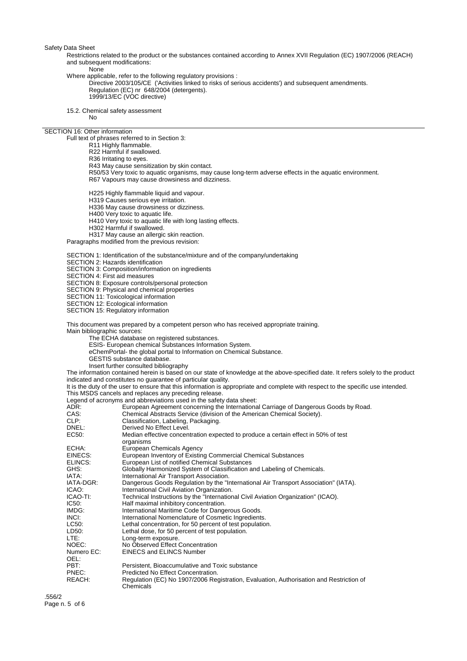Restrictions related to the product or the substances contained according to Annex XVII Regulation (EC) 1907/2006 (REACH) and subsequent modifications:

## None

Where applicable, refer to the following regulatory provisions :

Directive 2003/105/CE ('Activities linked to risks of serious accidents') and subsequent amendments. Regulation (EC) nr 648/2004 (detergents). 1999/13/EC (VOC directive)

15.2. Chemical safety assessment

No

SECTION 16: Other information

Full text of phrases referred to in Section 3:

- R11 Highly flammable.
- R22 Harmful if swallowed.
- R36 Irritating to eyes.
- R43 May cause sensitization by skin contact.
- R50/53 Very toxic to aquatic organisms, may cause long-term adverse effects in the aquatic environment. R67 Vapours may cause drowsiness and dizziness.

H225 Highly flammable liquid and vapour.

- H319 Causes serious eye irritation.
- H336 May cause drowsiness or dizziness.
- H400 Very toxic to aquatic life.
- H410 Very toxic to aquatic life with long lasting effects.
- H302 Harmful if swallowed.

H317 May cause an allergic skin reaction.

Paragraphs modified from the previous revision:

SECTION 1: Identification of the substance/mixture and of the company/undertaking

SECTION 2: Hazards identification

SECTION 3: Composition/information on ingredients

SECTION 4: First aid measures

SECTION 8: Exposure controls/personal protection

SECTION 9: Physical and chemical properties

SECTION 11: Toxicological information

SECTION 12: Ecological information

SECTION 15: Regulatory information

This document was prepared by a competent person who has received appropriate training.

Main bibliographic sources:

- The ECHA database on registered substances.
- ESIS- European chemical Substances Information System.
- eChemPortal- the global portal to Information on Chemical Substance.
- GESTIS substance database.
- Insert further consulted bibliography

The information contained herein is based on our state of knowledge at the above-specified date. It refers solely to the product indicated and constitutes no guarantee of particular quality.

It is the duty of the user to ensure that this information is appropriate and complete with respect to the specific use intended.

This MSDS cancels and replaces any preceding release.

Legend of acronyms and abbreviations used in the safety data sheet:<br>ADR: Furopean Agreement concerning the Internationa

| ADR:       | European Agreement concerning the International Carriage of Dangerous Goods by Road.                 |
|------------|------------------------------------------------------------------------------------------------------|
| CAS:       | Chemical Abstracts Service (division of the American Chemical Society).                              |
| CLP:       | Classification, Labeling, Packaging.                                                                 |
| DNEL:      | Derived No Effect Level.                                                                             |
| EC50:      | Median effective concentration expected to produce a certain effect in 50% of test<br>organisms      |
| ECHA:      | European Chemicals Agency                                                                            |
| EINECS:    | European Inventory of Existing Commercial Chemical Substances                                        |
| ELINCS:    | European List of notified Chemical Substances                                                        |
| GHS:       | Globally Harmonized System of Classification and Labeling of Chemicals.                              |
| IATA:      | International Air Transport Association.                                                             |
| IATA-DGR:  | Dangerous Goods Regulation by the "International Air Transport Association" (IATA).                  |
| ICAO:      | International Civil Aviation Organization.                                                           |
| ICAO-TI:   | Technical Instructions by the "International Civil Aviation Organization" (ICAO).                    |
| IC50:      | Half maximal inhibitory concentration.                                                               |
| IMDG:      | International Maritime Code for Dangerous Goods.                                                     |
| INCI:      | International Nomenclature of Cosmetic Ingredients.                                                  |
| LC50:      | Lethal concentration, for 50 percent of test population.                                             |
| LD50:      | Lethal dose, for 50 percent of test population.                                                      |
| LTE:       | Long-term exposure.                                                                                  |
| NOEC:      | No Observed Effect Concentration                                                                     |
| Numero EC: | <b>EINECS and ELINCS Number</b>                                                                      |
| OEL:       |                                                                                                      |
| PBT:       | Persistent, Bioaccumulative and Toxic substance                                                      |
| PNEC:      | Predicted No Effect Concentration.                                                                   |
| REACH:     | Regulation (EC) No 1907/2006 Registration, Evaluation, Authorisation and Restriction of<br>Chemicals |